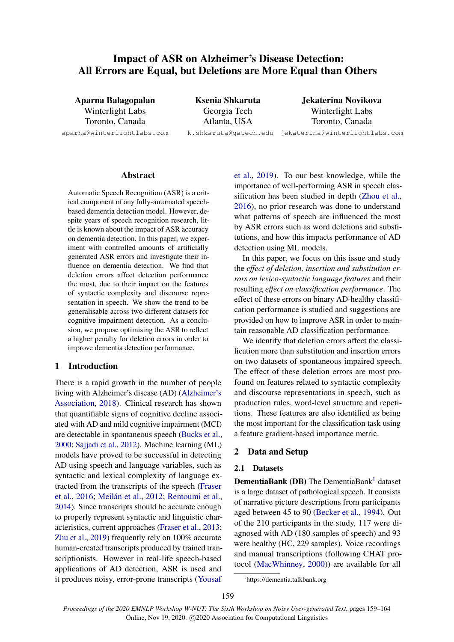# <span id="page-0-1"></span>Impact of ASR on Alzheimer's Disease Detection: All Errors are Equal, but Deletions are More Equal than Others

Aparna Balagopalan Winterlight Labs Toronto, Canada aparna@winterlightlabs.com

Ksenia Shkaruta Georgia Tech Atlanta, USA k.shkaruta@gatech.edu jekaterina@winterlightlabs.com

Jekaterina Novikova Winterlight Labs Toronto, Canada

## Abstract

<span id="page-0-2"></span>Automatic Speech Recognition (ASR) is a critical component of any fully-automated speechbased dementia detection model. However, despite years of speech recognition research, little is known about the impact of ASR accuracy on dementia detection. In this paper, we experiment with controlled amounts of artificially generated ASR errors and investigate their influence on dementia detection. We find that deletion errors affect detection performance the most, due to their impact on the features of syntactic complexity and discourse representation in speech. We show the trend to be generalisable across two different datasets for cognitive impairment detection. As a conclusion, we propose optimising the ASR to reflect a higher penalty for deletion errors in order to improve dementia detection performance.

# <span id="page-0-3"></span>1 Introduction

There is a rapid growth in the number of people living with Alzheimer's disease (AD) [\(Alzheimer's](#page-4-0) [Association,](#page-4-0) [2018\)](#page-4-0). Clinical research has shown that quantifiable signs of cognitive decline associated with AD and mild cognitive impairment (MCI) are detectable in spontaneous speech [\(Bucks et al.,](#page-4-1) [2000;](#page-4-1) [Sajjadi et al.,](#page-5-0) [2012\)](#page-5-0). Machine learning (ML) models have proved to be successful in detecting AD using speech and language variables, such as syntactic and lexical complexity of language extracted from the transcripts of the speech [\(Fraser](#page-4-2) [et al.,](#page-4-2) [2016;](#page-4-2) Meilán et al., [2012;](#page-4-3) [Rentoumi et al.,](#page-5-1) [2014\)](#page-5-1). Since transcripts should be accurate enough to properly represent syntactic and linguistic characteristics, current approaches [\(Fraser et al.,](#page-4-4) [2013;](#page-4-4) [Zhu et al.,](#page-5-2) [2019\)](#page-5-2) frequently rely on 100% accurate human-created transcripts produced by trained transcriptionists. However in real-life speech-based applications of AD detection, ASR is used and it produces noisy, error-prone transcripts [\(Yousaf](#page-5-3)

[et al.,](#page-5-3) [2019\)](#page-5-3). To our best knowledge, while the importance of well-performing ASR in speech classification has been studied in depth [\(Zhou et al.,](#page-5-4) [2016\)](#page-5-4), no prior research was done to understand what patterns of speech are influenced the most by ASR errors such as word deletions and substitutions, and how this impacts performance of AD detection using ML models.

In this paper, we focus on this issue and study the *effect of deletion, insertion and substitution errors on lexico-syntactic language features* and their resulting *effect on classification performance*. The effect of these errors on binary AD-healthy classification performance is studied and suggestions are provided on how to improve ASR in order to maintain reasonable AD classification performance.

We identify that deletion errors affect the classification more than substitution and insertion errors on two datasets of spontaneous impaired speech. The effect of these deletion errors are most profound on features related to syntactic complexity and discourse representations in speech, such as production rules, word-level structure and repetitions. These features are also identified as being the most important for the classification task using a feature gradient-based importance metric.

### 2 Data and Setup

#### <span id="page-0-4"></span>2.1 Datasets

**DementiaBank (DB)** The DementiaBank<sup>1</sup> dataset is a large dataset of pathological speech. It consists of narrative picture descriptions from participants aged between 45 to 90 [\(Becker et al.,](#page-4-5) [1994\)](#page-4-5). Out of the 210 participants in the study, 117 were diagnosed with AD (180 samples of speech) and 93 were healthy (HC, 229 samples). Voice recordings and manual transcriptions (following CHAT protocol [\(MacWhinney,](#page-4-6) [2000\)](#page-4-6)) are available for all

<span id="page-0-0"></span><sup>1</sup> https://dementia.talkbank.org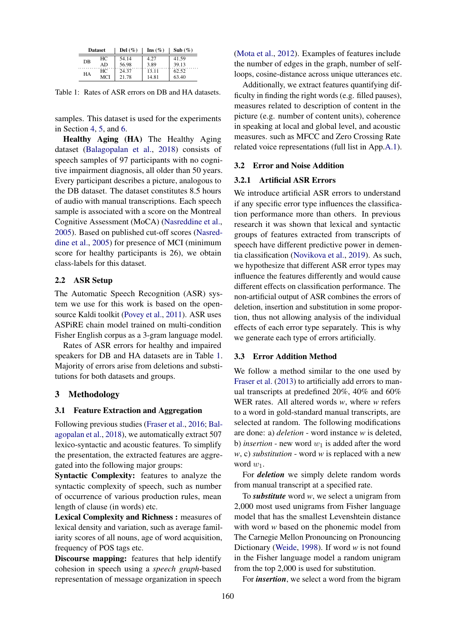<span id="page-1-0"></span>

| <b>Dataset</b> |     | Del $(\%)$ | Ins $(\%)$ | Sub $(\%)$ |
|----------------|-----|------------|------------|------------|
| DB             | HС  | 54.14      | 4.27       | 41.59      |
|                | AD  | 56.98      | 3.89       | 39.13      |
| HА             | HС  | 24.37      | 13.11      | 62.52      |
|                | MCI | 21.78      | 14.81      | 63.40      |

Table 1: Rates of ASR errors on DB and HA datasets.

samples. This dataset is used for the experiments in Section [4,](#page-2-0) [5,](#page-2-1) and [6.](#page-3-0)

Healthy Aging (HA) The Healthy Aging dataset [\(Balagopalan et al.,](#page-4-7) [2018\)](#page-4-7) consists of speech samples of 97 participants with no cognitive impairment diagnosis, all older than 50 years. Every participant describes a picture, analogous to the DB dataset. The dataset constitutes 8.5 hours of audio with manual transcriptions. Each speech sample is associated with a score on the Montreal Cognitive Assessment (MoCA) [\(Nasreddine et al.,](#page-4-8) [2005\)](#page-4-8). Based on published cut-off scores [\(Nasred](#page-4-8)[dine et al.,](#page-4-8) [2005\)](#page-4-8) for presence of MCI (minimum score for healthy participants is 26), we obtain class-labels for this dataset.

# 2.2 ASR Setup

The Automatic Speech Recognition (ASR) system we use for this work is based on the opensource Kaldi toolkit [\(Povey et al.,](#page-5-5) [2011\)](#page-5-5). ASR uses ASPiRE chain model trained on multi-condition Fisher English corpus as a 3-gram language model.

Rates of ASR errors for healthy and impaired speakers for DB and HA datasets are in Table [1.](#page-1-0) Majority of errors arise from deletions and substitutions for both datasets and groups.

#### <span id="page-1-2"></span>3 Methodology

#### <span id="page-1-1"></span>3.1 Feature Extraction and Aggregation

Following previous studies [\(Fraser et al.,](#page-4-2) [2016;](#page-4-2) [Bal](#page-4-7)[agopalan et al.,](#page-4-7) [2018\)](#page-4-7), we automatically extract 507 lexico-syntactic and acoustic features. To simplify the presentation, the extracted features are aggregated into the following major groups:

Syntactic Complexity: features to analyze the syntactic complexity of speech, such as number of occurrence of various production rules, mean length of clause (in words) etc.

Lexical Complexity and Richness : measures of lexical density and variation, such as average familiarity scores of all nouns, age of word acquisition, frequency of POS tags etc.

Discourse mapping: features that help identify cohesion in speech using a *speech graph*-based representation of message organization in speech [\(Mota et al.,](#page-4-9) [2012\)](#page-4-9). Examples of features include the number of edges in the graph, number of selfloops, cosine-distance across unique utterances etc.

Additionally, we extract features quantifying difficulty in finding the right words (e.g. filled pauses), measures related to description of content in the picture (e.g. number of content units), coherence in speaking at local and global level, and acoustic measures. such as MFCC and Zero Crossing Rate related voice representations (full list in App[.A.1\)](#page-0-1).

#### 3.2 Error and Noise Addition

## 3.2.1 Artificial ASR Errors

We introduce artificial ASR errors to understand if any specific error type influences the classification performance more than others. In previous research it was shown that lexical and syntactic groups of features extracted from transcripts of speech have different predictive power in dementia classification [\(Novikova et al.,](#page-4-10) [2019\)](#page-4-10). As such, we hypothesize that different ASR error types may influence the features differently and would cause different effects on classification performance. The non-artificial output of ASR combines the errors of deletion, insertion and substitution in some proportion, thus not allowing analysis of the individual effects of each error type separately. This is why we generate each type of errors artificially.

#### 3.3 Error Addition Method

We follow a method similar to the one used by [Fraser et al.](#page-4-4) [\(2013\)](#page-4-4) to artificially add errors to manual transcripts at predefined 20%, 40% and 60% WER rates. All altered words *w*, where *w* refers to a word in gold-standard manual transcripts, are selected at random. The following modifications are done: a) *deletion* - word instance *w* is deleted, b) *insertion* - new word  $w_1$  is added after the word *w*, c) *substitution* - word *w* is replaced with a new word *w*1.

For *deletion* we simply delete random words from manual transcript at a specified rate.

To *substitute* word *w*, we select a unigram from 2,000 most used unigrams from Fisher language model that has the smallest Levenshtein distance with word *w* based on the phonemic model from The Carnegie Mellon Pronouncing on Pronouncing Dictionary [\(Weide,](#page-5-6) [1998\)](#page-5-6). If word *w* is not found in the Fisher language model a random unigram from the top 2,000 is used for substitution.

For *insertion*, we select a word from the bigram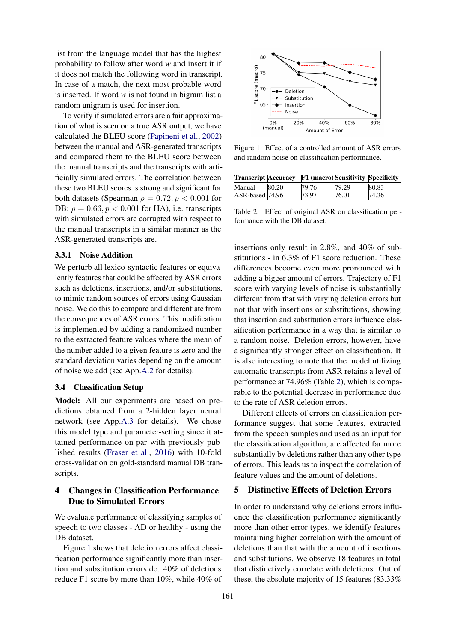list from the language model that has the highest probability to follow after word *w* and insert it if it does not match the following word in transcript. In case of a match, the next most probable word is inserted. If word *w* is not found in bigram list a random unigram is used for insertion.

To verify if simulated errors are a fair approximation of what is seen on a true ASR output, we have calculated the BLEU score [\(Papineni et al.,](#page-4-11) [2002\)](#page-4-11) between the manual and ASR-generated transcripts and compared them to the BLEU score between the manual transcripts and the transcripts with artificially simulated errors. The correlation between these two BLEU scores is strong and significant for both datasets (Spearman  $\rho = 0.72$ ,  $p < 0.001$  for DB;  $\rho = 0.66$ ,  $p < 0.001$  for HA), i.e. transcripts with simulated errors are corrupted with respect to the manual transcripts in a similar manner as the ASR-generated transcripts are.

### 3.3.1 Noise Addition

We perturb all lexico-syntactic features or equivalently features that could be affected by ASR errors such as deletions, insertions, and/or substitutions, to mimic random sources of errors using Gaussian noise. We do this to compare and differentiate from the consequences of ASR errors. This modification is implemented by adding a randomized number to the extracted feature values where the mean of the number added to a given feature is zero and the standard deviation varies depending on the amount of noise we add (see App[.A.2](#page-0-2) for details).

# 3.4 Classification Setup

Model: All our experiments are based on predictions obtained from a 2-hidden layer neural network (see App[.A.3](#page-0-3) for details). We chose this model type and parameter-setting since it attained performance on-par with previously published results [\(Fraser et al.,](#page-4-2) [2016\)](#page-4-2) with 10-fold cross-validation on gold-standard manual DB transcripts.

# <span id="page-2-0"></span>4 Changes in Classification Performance Due to Simulated Errors

We evaluate performance of classifying samples of speech to two classes - AD or healthy - using the DB dataset.

Figure [1](#page-2-2) shows that deletion errors affect classification performance significantly more than insertion and substitution errors do. 40% of deletions reduce F1 score by more than 10%, while 40% of

<span id="page-2-2"></span>

Figure 1: Effect of a controlled amount of ASR errors and random noise on classification performance.

<span id="page-2-3"></span>

| <b>Transcript Accuracy</b> |       | <b>F1 (macro)</b> Sensitivity Specificity |       |       |
|----------------------------|-------|-------------------------------------------|-------|-------|
| Manual                     | 80.20 | 79.76                                     | 79.29 | 80.83 |
| ASR-based 74.96            |       | 73.97                                     | 76.01 | 74.36 |

Table 2: Effect of original ASR on classification performance with the DB dataset.

insertions only result in 2.8%, and 40% of substitutions - in 6.3% of F1 score reduction. These differences become even more pronounced with adding a bigger amount of errors. Trajectory of F1 score with varying levels of noise is substantially different from that with varying deletion errors but not that with insertions or substitutions, showing that insertion and substitution errors influence classification performance in a way that is similar to a random noise. Deletion errors, however, have a significantly stronger effect on classification. It is also interesting to note that the model utilizing automatic transcripts from ASR retains a level of performance at 74.96% (Table [2\)](#page-2-3), which is comparable to the potential decrease in performance due to the rate of ASR deletion errors.

Different effects of errors on classification performance suggest that some features, extracted from the speech samples and used as an input for the classification algorithm, are affected far more substantially by deletions rather than any other type of errors. This leads us to inspect the correlation of feature values and the amount of deletions.

# <span id="page-2-1"></span>5 Distinctive Effects of Deletion Errors

In order to understand why deletions errors influence the classification performance significantly more than other error types, we identify features maintaining higher correlation with the amount of deletions than that with the amount of insertions and substitutions. We observe 18 features in total that distinctively correlate with deletions. Out of these, the absolute majority of 15 features (83.33%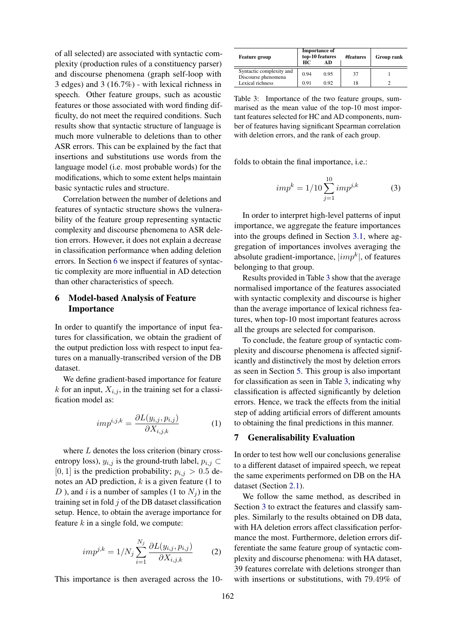of all selected) are associated with syntactic complexity (production rules of a constituency parser) and discourse phenomena (graph self-loop with 3 edges) and 3 (16.7%) - with lexical richness in speech. Other feature groups, such as acoustic features or those associated with word finding difficulty, do not meet the required conditions. Such results show that syntactic structure of language is much more vulnerable to deletions than to other ASR errors. This can be explained by the fact that insertions and substitutions use words from the language model (i.e. most probable words) for the modifications, which to some extent helps maintain basic syntactic rules and structure.

Correlation between the number of deletions and features of syntactic structure shows the vulnerability of the feature group representing syntactic complexity and discourse phenomena to ASR deletion errors. However, it does not explain a decrease in classification performance when adding deletion errors. In Section [6](#page-3-0) we inspect if features of syntactic complexity are more influential in AD detection than other characteristics of speech.

# <span id="page-3-0"></span>6 Model-based Analysis of Feature Importance

In order to quantify the importance of input features for classification, we obtain the gradient of the output prediction loss with respect to input features on a manually-transcribed version of the DB dataset.

We define gradient-based importance for feature  $k$  for an input,  $X_{i,j}$ , in the training set for a classification model as:

$$
imp^{i,j,k} = \frac{\partial L(y_{i,j}, p_{i,j})}{\partial X_{i,j,k}} \tag{1}
$$

where *L* denotes the loss criterion (binary crossentropy loss),  $y_{i,j}$  is the ground-truth label,  $p_{i,j} \subset$  $[0, 1]$  is the prediction probability;  $p_{i,j} > 0.5$  denotes an AD prediction, *k* is a given feature (1 to *D*), and *i* is a number of samples (1 to  $N_i$ ) in the training set in fold *j* of the DB dataset classification setup. Hence, to obtain the average importance for feature *k* in a single fold, we compute:

$$
imp^{j,k} = 1/N_j \sum_{i=1}^{N_j} \frac{\partial L(y_{i,j}, p_{i,j})}{\partial X_{i,j,k}}
$$
 (2)

This importance is then averaged across the 10-

<span id="page-3-1"></span>

| <b>Feature group</b>                            | <b>Importance of</b><br>top-10 features<br>HС<br>AD |      | #features | <b>Group rank</b> |
|-------------------------------------------------|-----------------------------------------------------|------|-----------|-------------------|
| Syntactic complexity and<br>Discourse phenomena | 0.94                                                | 0.95 | 37        |                   |
| Lexical richness                                | 0.91                                                | 0.92 | 18        |                   |

Table 3: Importance of the two feature groups, summarised as the mean value of the top-10 most important features selected for HC and AD components, number of features having significant Spearman correlation with deletion errors, and the rank of each group.

folds to obtain the final importance, i.e.:

$$
imp^{k} = 1/10 \sum_{j=1}^{10} imp^{j,k}
$$
 (3)

In order to interpret high-level patterns of input importance, we aggregate the feature importances into the groups defined in Section [3.1,](#page-1-1) where aggregation of importances involves averaging the absolute gradient-importance, *<sup>|</sup>impk|*, of features belonging to that group.

Results provided in Table [3](#page-3-1) show that the average normalised importance of the features associated with syntactic complexity and discourse is higher than the average importance of lexical richness features, when top-10 most important features across all the groups are selected for comparison.

To conclude, the feature group of syntactic complexity and discourse phenomena is affected significantly and distinctively the most by deletion errors as seen in Section [5.](#page-2-1) This group is also important for classification as seen in Table [3,](#page-3-1) indicating why classification is affected significantly by deletion errors. Hence, we track the effects from the initial step of adding artificial errors of different amounts to obtaining the final predictions in this manner.

#### 7 Generalisability Evaluation

In order to test how well our conclusions generalise to a different dataset of impaired speech, we repeat the same experiments performed on DB on the HA dataset (Section [2.1\)](#page-0-4).

We follow the same method, as described in Section [3](#page-1-2) to extract the features and classify samples. Similarly to the results obtained on DB data, with HA deletion errors affect classification performance the most. Furthermore, deletion errors differentiate the same feature group of syntactic complexity and discourse phenomena: with HA dataset, 39 features correlate with deletions stronger than with insertions or substitutions, with 79*.*49% of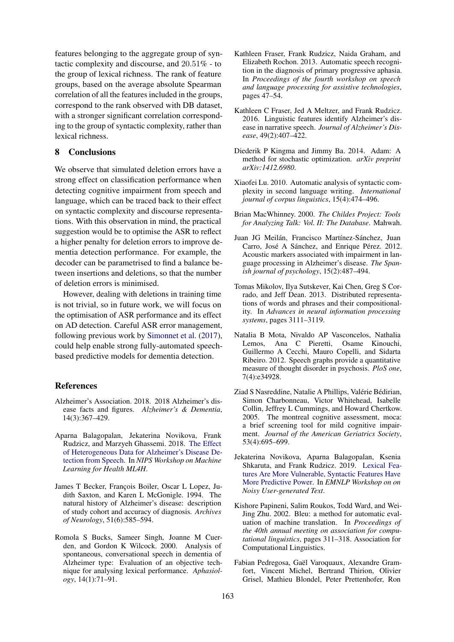features belonging to the aggregate group of syntactic complexity and discourse, and 20*.*51% - to the group of lexical richness. The rank of feature groups, based on the average absolute Spearman correlation of all the features included in the groups, correspond to the rank observed with DB dataset, with a stronger significant correlation corresponding to the group of syntactic complexity, rather than lexical richness.

### 8 Conclusions

We observe that simulated deletion errors have a strong effect on classification performance when detecting cognitive impairment from speech and language, which can be traced back to their effect on syntactic complexity and discourse representations. With this observation in mind, the practical suggestion would be to optimise the ASR to reflect a higher penalty for deletion errors to improve dementia detection performance. For example, the decoder can be parametrised to find a balance between insertions and deletions, so that the number of deletion errors is minimised.

However, dealing with deletions in training time is not trivial, so in future work, we will focus on the optimisation of ASR performance and its effect on AD detection. Careful ASR error management, following previous work by [Simonnet et al.](#page-5-7) [\(2017\)](#page-5-7), could help enable strong fully-automated speechbased predictive models for dementia detection.

### References

- <span id="page-4-0"></span>Alzheimer's Association. 2018. 2018 Alzheimer's disease facts and figures. *Alzheimer's & Dementia*, 14(3):367–429.
- <span id="page-4-7"></span>Aparna Balagopalan, Jekaterina Novikova, Frank Rudzicz, and Marzyeh Ghassemi. 2018. [The Effect](https://arxiv.org/abs/1811.12254) [of Heterogeneous Data for Alzheimer's Disease De](https://arxiv.org/abs/1811.12254)[tection from Speech.](https://arxiv.org/abs/1811.12254) In *NIPS Workshop on Machine Learning for Health ML4H*.
- <span id="page-4-5"></span>James T Becker, François Boiler, Oscar L Lopez, Judith Saxton, and Karen L McGonigle. 1994. The natural history of Alzheimer's disease: description of study cohort and accuracy of diagnosis. *Archives of Neurology*, 51(6):585–594.
- <span id="page-4-1"></span>Romola S Bucks, Sameer Singh, Joanne M Cuerden, and Gordon K Wilcock. 2000. Analysis of spontaneous, conversational speech in dementia of Alzheimer type: Evaluation of an objective technique for analysing lexical performance. *Aphasiology*, 14(1):71–91.
- <span id="page-4-4"></span>Kathleen Fraser, Frank Rudzicz, Naida Graham, and Elizabeth Rochon. 2013. Automatic speech recognition in the diagnosis of primary progressive aphasia. In *Proceedings of the fourth workshop on speech and language processing for assistive technologies*, pages 47–54.
- <span id="page-4-2"></span>Kathleen C Fraser, Jed A Meltzer, and Frank Rudzicz. 2016. Linguistic features identify Alzheimer's disease in narrative speech. *Journal of Alzheimer's Disease*, 49(2):407–422.
- Diederik P Kingma and Jimmy Ba. 2014. Adam: A method for stochastic optimization. *arXiv preprint arXiv:1412.6980*.
- Xiaofei Lu. 2010. Automatic analysis of syntactic complexity in second language writing. *International journal of corpus linguistics*, 15(4):474–496.
- <span id="page-4-6"></span>Brian MacWhinney. 2000. *The Childes Project: Tools for Analyzing Talk: Vol. II: The Database*. Mahwah.
- <span id="page-4-3"></span>Juan JG Meilán, Francisco Martínez-Sánchez, Juan Carro, José A Sánchez, and Enrique Pérez. 2012. Acoustic markers associated with impairment in language processing in Alzheimer's disease. *The Spanish journal of psychology*, 15(2):487–494.
- Tomas Mikolov, Ilya Sutskever, Kai Chen, Greg S Corrado, and Jeff Dean. 2013. Distributed representations of words and phrases and their compositionality. In *Advances in neural information processing systems*, pages 3111–3119.
- <span id="page-4-9"></span>Natalia B Mota, Nivaldo AP Vasconcelos, Nathalia Lemos, Ana C Pieretti, Osame Kinouchi, Guillermo A Cecchi, Mauro Copelli, and Sidarta Ribeiro. 2012. Speech graphs provide a quantitative measure of thought disorder in psychosis. *PloS one*, 7(4):e34928.
- <span id="page-4-8"></span>Ziad S Nasreddine, Natalie A Phillips, Valérie Bédirian, Simon Charbonneau, Victor Whitehead, Isabelle Collin, Jeffrey L Cummings, and Howard Chertkow. 2005. The montreal cognitive assessment, moca: a brief screening tool for mild cognitive impairment. *Journal of the American Geriatrics Society*, 53(4):695–699.
- <span id="page-4-10"></span>Jekaterina Novikova, Aparna Balagopalan, Ksenia Shkaruta, and Frank Rudzicz. 2019. [Lexical Fea](https://arxiv.org/abs/1910.00065)[tures Are More Vulnerable, Syntactic Features Have](https://arxiv.org/abs/1910.00065) [More Predictive Power.](https://arxiv.org/abs/1910.00065) In *EMNLP Workshop on on Noisy User-generated Text*.
- <span id="page-4-11"></span>Kishore Papineni, Salim Roukos, Todd Ward, and Wei-Jing Zhu. 2002. Bleu: a method for automatic evaluation of machine translation. In *Proceedings of the 40th annual meeting on association for computational linguistics*, pages 311–318. Association for Computational Linguistics.
- Fabian Pedregosa, Gaël Varoquaux, Alexandre Gramfort, Vincent Michel, Bertrand Thirion, Olivier Grisel, Mathieu Blondel, Peter Prettenhofer, Ron